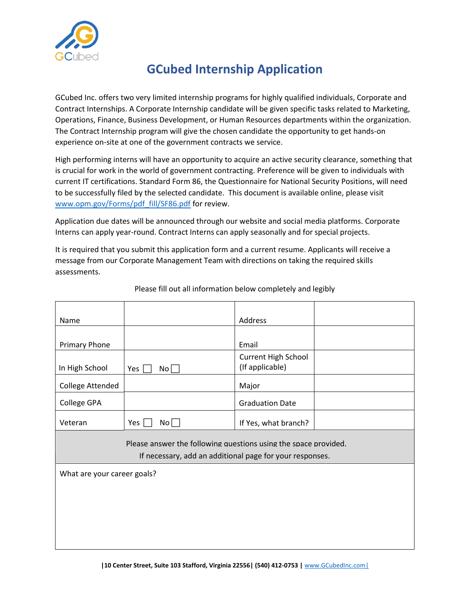

## **GCubed Internship Application**

GCubed Inc. offers two very limited internship programs for highly qualified individuals, Corporate and Contract Internships. A Corporate Internship candidate will be given specific tasks related to Marketing, Operations, Finance, Business Development, or Human Resources departments within the organization. The Contract Internship program will give the chosen candidate the opportunity to get hands-on experience on-site at one of the government contracts we service.

High performing interns will have an opportunity to acquire an active security clearance, something that is crucial for work in the world of government contracting. Preference will be given to individuals with current IT certifications. Standard Form 86, the [Questionnaire for National Security Positions,](http://www.opm.gov/Forms/pdf_fill/SF86.pdf) will need to be successfully filed by the selected candidate. This document is available online, please visit [www.opm.gov/Forms/pdf\\_fill/SF86.pdf](http://www.opm.gov/Forms/pdf_fill/SF86.pdf) for review.

Application due dates will be announced through our website and social media platforms. Corporate Interns can apply year-round. Contract Interns can apply seasonally and for special projects.

It is required that you submit this application form and a current resume. Applicants will receive a message from our Corporate Management Team with directions on taking the required skills assessments.

| Name                                                                                                                        |                   | Address                                |  |
|-----------------------------------------------------------------------------------------------------------------------------|-------------------|----------------------------------------|--|
|                                                                                                                             |                   |                                        |  |
| <b>Primary Phone</b>                                                                                                        |                   | Email                                  |  |
| In High School                                                                                                              | Yes $\vert$<br>No | Current High School<br>(If applicable) |  |
| College Attended                                                                                                            |                   | Major                                  |  |
| College GPA                                                                                                                 |                   | <b>Graduation Date</b>                 |  |
| Veteran                                                                                                                     | Yes $\Box$<br>No  | If Yes, what branch?                   |  |
| Please answer the following questions using the space provided.<br>If necessary, add an additional page for your responses. |                   |                                        |  |
| What are your career goals?                                                                                                 |                   |                                        |  |
|                                                                                                                             |                   |                                        |  |
|                                                                                                                             |                   |                                        |  |
|                                                                                                                             |                   |                                        |  |
|                                                                                                                             |                   |                                        |  |

Please fill out all information below completely and legibly